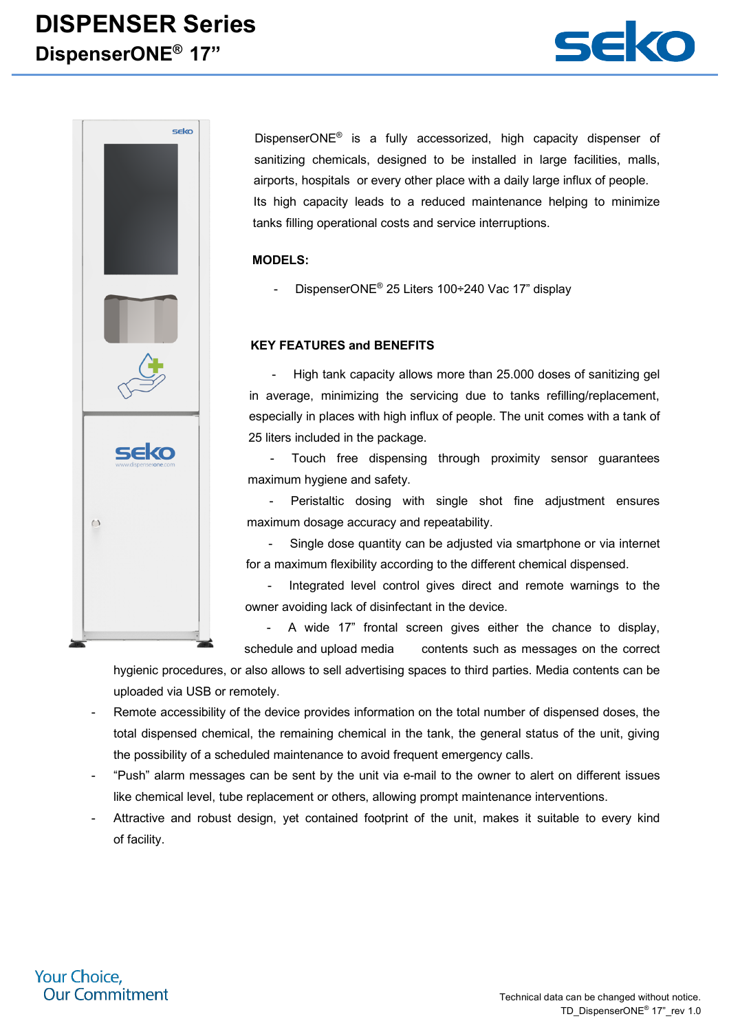## **DISPENSER Series DispenserONE® 17"**





DispenserONE® is a fully accessorized, high capacity dispenser of sanitizing chemicals, designed to be installed in large facilities, malls, airports, hospitals or every other place with a daily large influx of people. Its high capacity leads to a reduced maintenance helping to minimize tanks filling operational costs and service interruptions.

#### **MODELS:**

DispenserONE® 25 Liters 100÷240 Vac 17" displav

#### **KEY FEATURES and BENEFITS**

High tank capacity allows more than 25.000 doses of sanitizing gel in average, minimizing the servicing due to tanks refilling/replacement, especially in places with high influx of people. The unit comes with a tank of 25 liters included in the package.

Touch free dispensing through proximity sensor guarantees maximum hygiene and safety.

Peristaltic dosing with single shot fine adjustment ensures maximum dosage accuracy and repeatability.

Single dose quantity can be adjusted via smartphone or via internet for a maximum flexibility according to the different chemical dispensed.

- Integrated level control gives direct and remote warnings to the owner avoiding lack of disinfectant in the device.

- A wide 17" frontal screen gives either the chance to display, schedule and upload media contents such as messages on the correct

hygienic procedures, or also allows to sell advertising spaces to third parties. Media contents can be uploaded via USB or remotely.

- Remote accessibility of the device provides information on the total number of dispensed doses, the total dispensed chemical, the remaining chemical in the tank, the general status of the unit, giving the possibility of a scheduled maintenance to avoid frequent emergency calls.
- "Push" alarm messages can be sent by the unit via e-mail to the owner to alert on different issues like chemical level, tube replacement or others, allowing prompt maintenance interventions.
- Attractive and robust design, yet contained footprint of the unit, makes it suitable to every kind of facility.